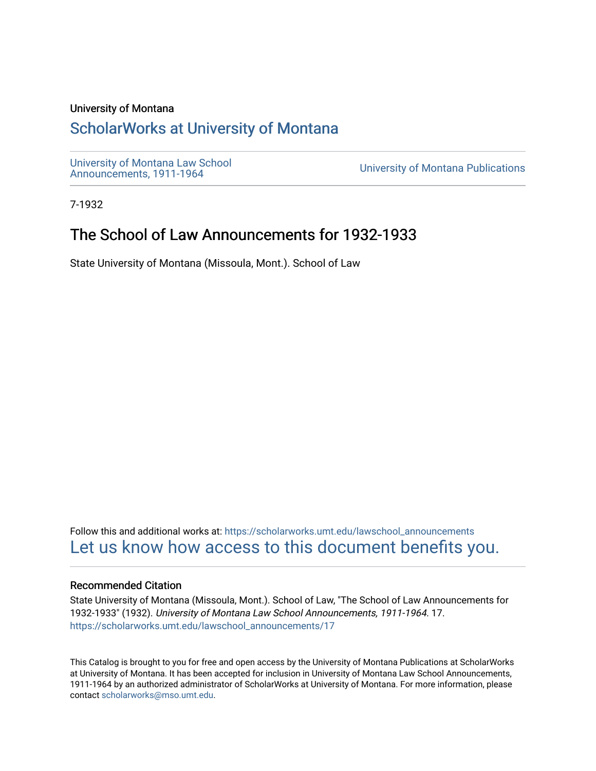# University of Montana

# [ScholarWorks at University of Montana](https://scholarworks.umt.edu/)

[University of Montana Law School](https://scholarworks.umt.edu/lawschool_announcements)<br>Announcements, 1911-1964

**University of Montana Publications** 

7-1932

# The School of Law Announcements for 1932-1933

State University of Montana (Missoula, Mont.). School of Law

Follow this and additional works at: [https://scholarworks.umt.edu/lawschool\\_announcements](https://scholarworks.umt.edu/lawschool_announcements?utm_source=scholarworks.umt.edu%2Flawschool_announcements%2F17&utm_medium=PDF&utm_campaign=PDFCoverPages)  [Let us know how access to this document benefits you.](https://goo.gl/forms/s2rGfXOLzz71qgsB2) 

# Recommended Citation

State University of Montana (Missoula, Mont.). School of Law, "The School of Law Announcements for 1932-1933" (1932). University of Montana Law School Announcements, 1911-1964. 17. [https://scholarworks.umt.edu/lawschool\\_announcements/17](https://scholarworks.umt.edu/lawschool_announcements/17?utm_source=scholarworks.umt.edu%2Flawschool_announcements%2F17&utm_medium=PDF&utm_campaign=PDFCoverPages)

This Catalog is brought to you for free and open access by the University of Montana Publications at ScholarWorks at University of Montana. It has been accepted for inclusion in University of Montana Law School Announcements, 1911-1964 by an authorized administrator of ScholarWorks at University of Montana. For more information, please contact [scholarworks@mso.umt.edu](mailto:scholarworks@mso.umt.edu).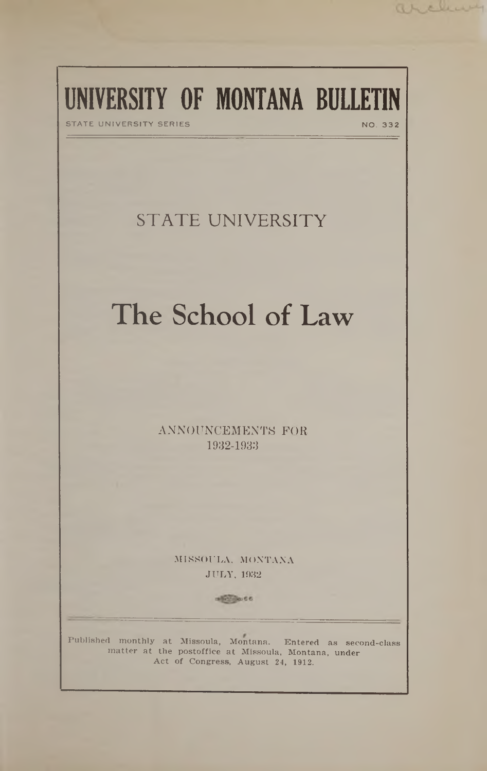# UNIVERSITY OF MONTANA BULLETIN

STATE UNIVERSITY SERIES NO. 332

archive

# **STATE UNIVERSITY**

# The School of Law

**ANNOUNCEMENTS FOR 1932-1933**

> MISSOULA, MONTANA JULY, 1932

> > $+50.0001$

Published monthly at Missoula, Montana. Entered as second-class matter at the postoffice at Missoula, Montana, under Act of Congress, August 24, 1912.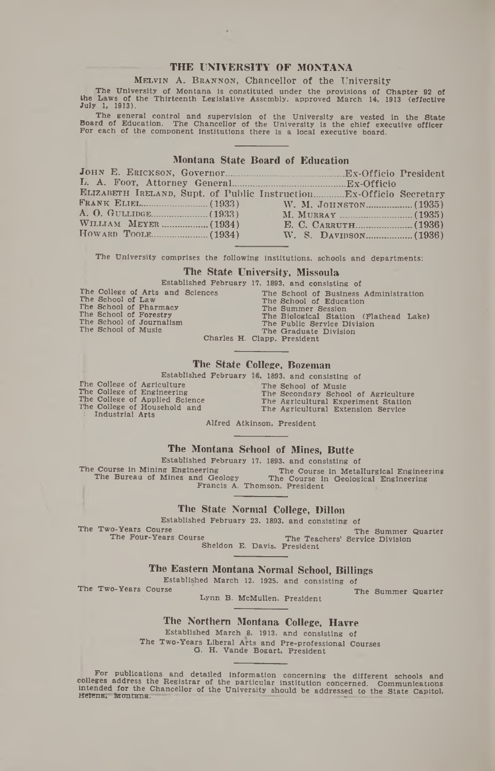# **THE UNIVERSITY OF MONTANA**

**MELVIN A. BRANNON, Chancellor of the University** 

**,The University of Montana is constituted under the provisions of Chapter 92 of the Laws of the Thirteenth Legislative Assembly, approved March 14, 1913 (effective July 1, 1913).**

The general control and supervision of the University are vested in the State<br>Board of Education. The Chancellor of the University is the chief executive officer<br>For each of the component institutions there is a local exec

#### **Montana State Board of Education**

| ELIZABETH IRELAND, Supt. of Public Instruction Ex-Officio Secretary |  |  |
|---------------------------------------------------------------------|--|--|
|                                                                     |  |  |
|                                                                     |  |  |
|                                                                     |  |  |
|                                                                     |  |  |
|                                                                     |  |  |
|                                                                     |  |  |

**The University comprises the following Institutions, schools and departments:**

#### **The State University, Missoula**

|                                                 |                                  | Established February 17, 1893, and consisting of                 |  |
|-------------------------------------------------|----------------------------------|------------------------------------------------------------------|--|
| The School of Law<br>The School of Pharmacy     | The College of Arts and Sciences | The School of Business Administration<br>The School of Education |  |
| The School of Forestry                          |                                  | The Summer Session<br>The Biological Station (Flathead Lake)     |  |
| The School of Journalism<br>The School of Music |                                  | The Public Service Division<br>The Graduate Division             |  |
|                                                 |                                  | Charles H. Clapp, President                                      |  |

#### **The State College, Bozeman**

**Established February >. 1893. and consisting of**

**The College of Agriculture The College of Engineering The College of Applied Science The College of Household and t Industrial Arts**

**The School of Music The Secondary School of Agriculture The Agricultural Experiment Station The Agricultural Extension Service**

**Alfred Atkinson, President**

#### **The Montana School of Mines, Butte**

**Established February 17. 1893. and consisting of**<br>The Course in Mining Engineering **The Course in Metal The Course in Mining Engineering The Course in Metallurgical Engineering The Bureau of Mines and Geology The Course in Geological Engineering The Bureau of Mines and Geology The Course in Geological Engineering Francis A. Thomson, President**

# **The State Normal College, Dillon**

**Established February 23. 1893. and consisting of**<br>The Two-Years Course <sup>70</sup>-Years Course Course The Summer Quarter<br>The Four-Years Course The Teachers' Service Division The Teachers' Service Division

**Sheldon E. Davis. President**

## **The Eastern Montana Normal School, Billings**

**Established March 12. 1925. and consisting of**<br>The Two-Years Course

The Summer Quarter

**Lynn B. McMullen. President**

## **The Northern Montana College, Havre**

**Established March 8. 1913. and consisting of The Two-Years Liberal Arts and Pre-professional Courses G. H. Vande Bogart, President**

For publications and detailed information concerning the different schools and<br>colleges address the Registrar of the particular institution concerned. Communications<br>intended for the Chancellor of the University should be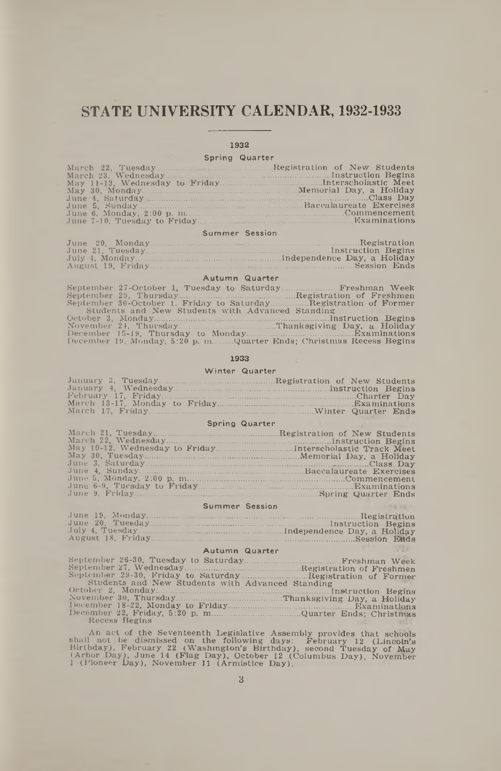# **STATE UNIVERSITY CALENDAR, 1932-1933**

#### 1932

#### Spring Quarter

| June 7-10. Tuesday to Friday Manuscripture Examinations |  |
|---------------------------------------------------------|--|

#### Summer Session

#### Autumn Quarter

| September 30-October 1, Friday to SaturdayRegistration of Former    |  |
|---------------------------------------------------------------------|--|
| Students and New Students with Advanced Standing                    |  |
|                                                                     |  |
|                                                                     |  |
|                                                                     |  |
| December 19, Monday, 5:20 p. mQuarter Ends; Christmas Recess Begins |  |

#### 1933

#### Winter Quarter

#### Spring Quarter

| May 10-12. Wednesday to FridayInterscholastic Track Meet |  |
|----------------------------------------------------------|--|
|                                                          |  |
|                                                          |  |
|                                                          |  |
|                                                          |  |
|                                                          |  |
|                                                          |  |

#### Summer Session

#### Autumn Quarter

| Students and New Students with Advanced Standing |  |
|--------------------------------------------------|--|
|                                                  |  |
|                                                  |  |
|                                                  |  |
|                                                  |  |
| Recess Begins                                    |  |

An act of the Seventeenth Legislative Assembly provides that schools<br>shall not be dismissed on the following days: February 12 (Lincoln's<br>Birthday), February 22 (Washington's Birthday), second Tuesday of May<br>(Arbor Day), J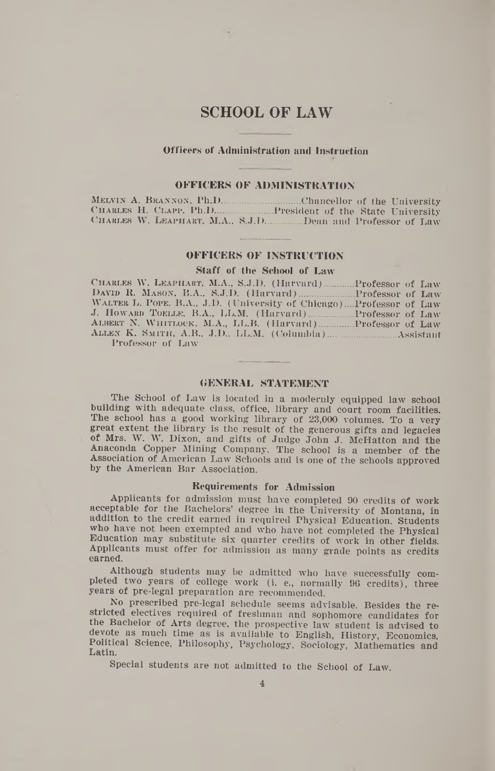# **SCHOOL OF LAW**

#### **Officers of Administration and Instruction**

#### **OFFICERS OF ADMINISTRATION**

MELVIN A. BRANNON, Ph.D.................................Chancellor of the University Charles H. Clapp, Ph.D..................... President of the State University C harles W. Leaphart, M.A., S.J.D..............Dean and Professor of Law

#### **OFFICERS OF INSTRUCTION**

#### **Staff of the School of Law**

Charles W. Leaphart, M.A., S.J.D. (Harvard).......... Professor of Law David R. Mason, B.A., S.J.D. (Harvard)....................Professor of Law Walter L. Pope, B.A., J.D. (University of Chicago)....Professor of Law J. Howard T oelle, B.A., LL.M. (Harvard)................ Professor of Law Albert N. W hitlock, M.A., LL.B. (Harvard).............Professor of Law Allen K. Sm ith , A.B., J.D., LL.M. (Columbia)......................... Assistant Professor of Law

#### **GENERAL STATEMENT**

The School of Law is located in a modernly equipped law school building with adequate class, office, library and court room facilities. The school has a good working library of 23,000 volumes. To a very great extent the library is the result of the generous gifts and legacies of Mrs. W. W. Dixon, and gifts of Judge John J. McHatton and the Anaconda Copper Mining Company. The school is a member of the Association of American Law Schools and is one of the schools approved by the American Bar Association.

#### **Requirements for Admission**

Applicants for admission must have completed 90 credits of work acceptable for the Bachelors' degree in the University of Montana, in addition to the credit earned in required Physical Education. Students who have not been exempted and who have not completed the Physical Education may substitute six quarter credits of work in other fields. Applicants must offer for admission as many grade points as credits earned.

Although students may be admitted who have successfully completed two years of college work (i. e., normally 96 credits), three years of pre-legal preparation are recommended.

No prescribed pre-legal schedule seems advisable. Besides the restricted electives required of freshman and sophomore candidates for the Bachelor of Arts degree, the prospective law student is advised to devote as much time as is available to English, History, Economics, Political Science, Philosophy, Psychology, Sociology, Mathematics and Latin.

Special students are not admitted to the School of Law.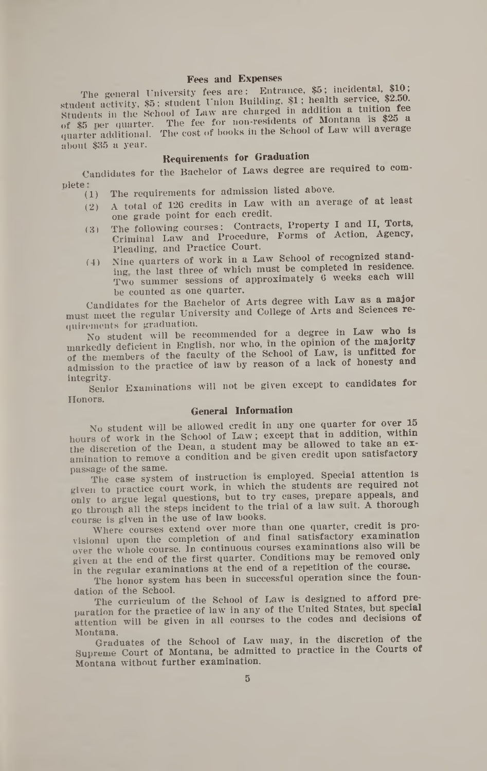## **Fees and Expenses**

The general University fees are: Entrance, \$5; incidental, \$10; student activity, \$5; student Union Building, \$1; health service, \$2.50. Students in the School of Law are charged in addition a tuition **fee**  $\alpha$ <sup>6</sup>  $\frac{85}{25}$  ner quarter. The fee for non-residents of Montana is  $\frac{325}{25}$  a quarter additional. The cost of books in the School of Law will average about \$35 a year.

# **Requirements for Graduation**

Candidates for the Bachelor of Laws degree are required to com-

- $\text{plate:} \begin{cases} (1) & \text{The requirements for admission listed above.} \end{cases}$ 
	- (2) A total of 126 credits in Law with an average of at least one grade point for each credit.
	- (3) The following courses: Contracts, Property **I** and **II,** Torts, Criminal Law and Procedure, Forms of Action, Agency, Pleading, and Practice Court.
	- (4) Nine quarters of work in a Law School of recognized standing the last three of which must be completed in residence. Two summer sessions of approximately 6 weeks each will be counted as one quarter.

Candidates for the Bachelor of Arts degree with Law as a major must meet the regular University and College of Arts and Sciences requirements for graduation. . .

No student will be recommended for a degree in Law who is markedly deficient in English, nor who, in the opinion of the majority of the members of the faculty of the School of Law, is unfitted for admission to the practice of law by reason of a lack of honesty and

integrity. . Senior Examinations will not be given except to candidates for Honors.

## **General Information**

No student will be allowed credit in any one quarter for over 15 hours of work in the School of Law; except that in addition, within the discretion of the Dean, a student may be allowed to take an examination to remove a condition and be given credit upon satisfactory

passage of the same.<br>The case system of instruction is employed. Special attention is given to practice court work, in which the students are required not only to argue legal questions, but to try cases, prepare appeals, and go through all the steps incident to the trial of a law suit. A thorough course is given in the use of law books.

Where courses extend over more than one quarter, credit is provisional upon the completion of and final satisfactory examination over the whole course. In continuous courses examinations also will be given at the end of the first quarter. Conditions may be removed only in the regular examinations at the end of a repetition of the course.

The honor system has been in successful operation since the foundation of the School.

The curriculum of the School of Law is designed to afford preparation for the practice of law in any of the United States, but special attention will be given in all courses to the codes and decisions of

Montana.<br>Graduates of the School of Law may, in the discretion of the Supreme Court of Montana, be admitted to practice in the Courts of Montana without further examination.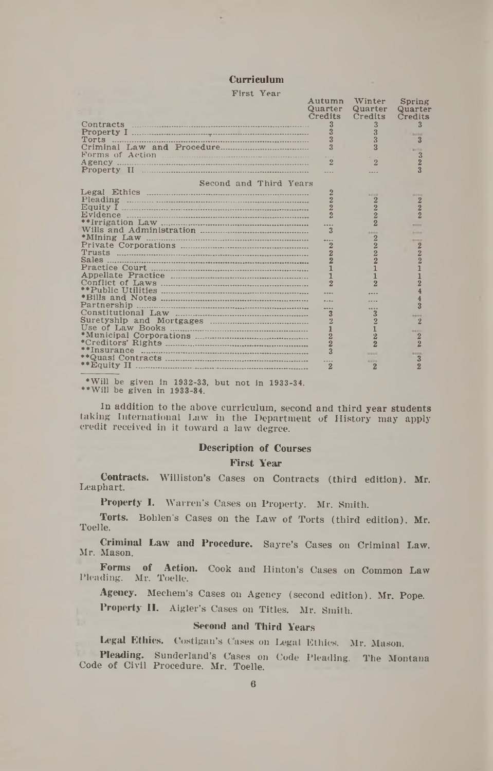# Curriculum

| First Year                                                                                                                                                                                                                    |                                  |                                  |                                             |
|-------------------------------------------------------------------------------------------------------------------------------------------------------------------------------------------------------------------------------|----------------------------------|----------------------------------|---------------------------------------------|
|                                                                                                                                                                                                                               | Autumn<br>Quarter<br>Credits     | Winter<br>Quarter<br>Credits     | Spring<br>Quarter<br>Credits                |
| Torts                                                                                                                                                                                                                         | 3<br>3                           | 3<br>3<br>3                      | 3<br><b>Arrival</b>                         |
| Forms of Action                                                                                                                                                                                                               | $\overline{3}$                   | $\overline{R}$                   | <b>Arrival</b>                              |
|                                                                                                                                                                                                                               | $\overline{2}$                   | $\overline{2}$                   | $\frac{3}{2}$                               |
| Second and Third Years                                                                                                                                                                                                        |                                  |                                  |                                             |
|                                                                                                                                                                                                                               | 2<br>$\overline{2}$              | 6616<br>$\overline{2}$           | $-111$                                      |
|                                                                                                                                                                                                                               | $\overline{2}$<br>$\overline{2}$ | $\frac{2}{2}$                    | $\frac{2}{2}$                               |
|                                                                                                                                                                                                                               | $\overline{\mathbf{3}}$          | $\overline{2}$                   |                                             |
|                                                                                                                                                                                                                               |                                  | <b>A 644</b><br>$\overline{2}$   | <b>Contract</b>                             |
| <u>Trusts ………………………………………………………………</u>                                                                                                                                                                                        | $\overline{2}$<br>$\overline{2}$ | $\overline{2}$<br>$\overline{2}$ | $\begin{smallmatrix}2\2\2\end{smallmatrix}$ |
| <b>Sales</b>                                                                                                                                                                                                                  | $\overline{2}$<br>$\mathbf{1}$   | $\overline{2}$<br>1              |                                             |
|                                                                                                                                                                                                                               | $\mathbf{1}$<br>$\overline{2}$   | 1<br>$\overline{2}$              | $\frac{1}{2}$                               |
|                                                                                                                                                                                                                               |                                  |                                  |                                             |
| Partnership                                                                                                                                                                                                                   |                                  |                                  | $\overline{3}$                              |
|                                                                                                                                                                                                                               | 3<br>$\overline{2}$              | $\overline{3}$<br>$\overline{2}$ | $\overline{2}$                              |
|                                                                                                                                                                                                                               | $\frac{1}{2}$                    | $\overline{2}$                   | $\overline{2}$                              |
|                                                                                                                                                                                                                               | $\overline{2}$                   | $\overline{2}$                   | $\overline{2}$                              |
|                                                                                                                                                                                                                               | $\overline{3}$                   | <b>WANNA</b><br><b>MAYS</b>      | <b>R 6 F 13</b><br>3                        |
| **Equity II                                                                                                                                                                                                                   | 2                                | $\overline{2}$                   | $\overline{2}$                              |
| the company of the company of the company of the company of the company of the company of the company of the company of the company of the company of the company of the company of the company of the company of the company |                                  |                                  |                                             |

•Will be given In 1932-33, but not in 1933-34. " Will be given in 1933-84.

In addition to the above curriculum, second and third year students taking International Law in the Department of History may apply credit received in it toward a law degree.

#### Description of Courses

#### First Year

Contracts. Williston's Cases on Contracts (third edition). Mr. Leaphart.

Property I. Warren's Cases on Property. Mr. Smith.

Torts. Bohlen's Cases on the Law of Torts (third edition). Mr. Toelle.

Criminal Law and Procedure. Sayre's Cases on Criminal Law. Mr. Mason.

Forms of Action. Cook and Hinton's Cases on Common Law Pleading. Mr. Toelle.

Agency. Mechem's Cases on Agency (second edition). Mr. Pope.

Property II. Aigler's Cases on Titles. Mr. Smith.

#### Second and Third Years

Legal Ethics. Costigan's Cases on Legal Ethics. Mr. Mason.

Pleading. Sunderland's Cases on Code Pleading. The Montana Code of Civil Procedure. Mr. Toelle.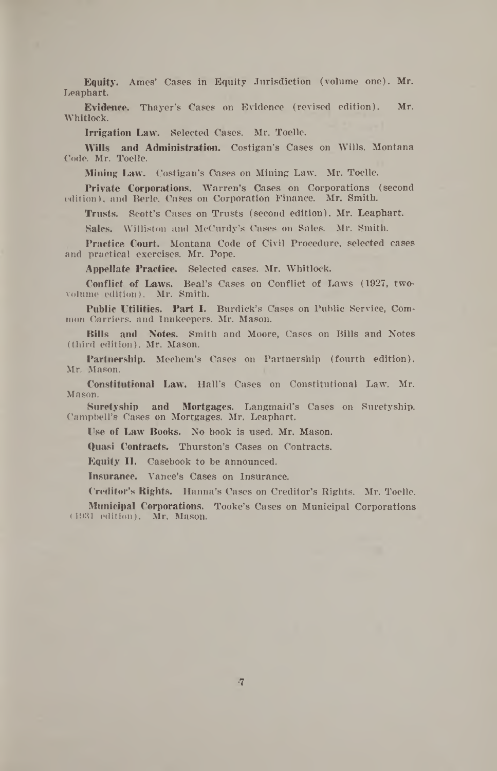**Equity.** Ames' Cases in Equity Jurisdiction (volume one). Mr. Leaphart.

**Evidence.** Thayer's Cases on Evidence (revised edition). Mr. Whitlock.

**Irrigation Law.** Selected Cases. Mr. Toelle.

**Wills and Administration.** Costigan's Cases on Wills. Montana Code. Mr. Toelle.

**Mining Law.** Costigan's Cases on Mining Law. Mr. Toelle.

**Private Corporations.** Warren's Cases on Corporations (second edition), and Berle, Cases on Corporation Finance. Mr. Smith.

**Trusts.** Scott's Cases on Trusts (second edition). Mr. Leaphart.

**Sales.** Williston and McCurdy's Cases on Sales. Mr. Smith.

**Practice Court.** Montana Code of Civil Procedure, selected cases and practical exercises. Mr. Pope.

**Appellate Practice.** Selected cases. Mr. Whitlock.

**Conflict of Laws.** Beal's Cases on Conflict of Laws (1927, twovolume edition). Mr. Smith.

**Public Utilities. Part I.** Burdick's Cases on Public Service, Common Carriers, and Innkeepers. Mr. Mason.

**Bills and Notes.** Smith and Moore, Cases On Bills and Notes (third edition). Mr. Mason.

**Partnership.** Mechem's Cases on Partnership (fourth edition). Mr. Mason.

**Constitutional Law.** Hall's Cases on Constitutional Law. Mr. Mason.

**Suretyship and Mortgages.** Langmaid's Cases on Suretyship. Campbell's Cases on Mortgages. Mr. Leaphart.

**Use of Law Books.** No book is used. Mr. Mason.

**Quasi Contracts.** Thurston's Cases on Contracts.

Equity II. Casebook to be announced.

**Insurance.** Vance's Cases on Insurance.

**Creditor's Rights.** Hanna's Cases on Creditor's Rights. Mr. Toelle.

**Municipal Corporations.** Tooke's Cases on Municipal Corporations (1931 edition). Mr. Mason.